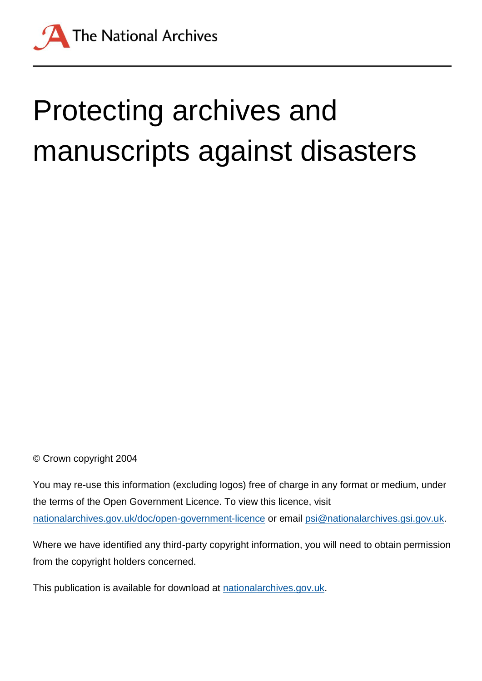

# Protecting archives and manuscripts against disasters

© Crown copyright 2004

You may re-use this information (excluding logos) free of charge in any format or medium, under the terms of the Open Government Licence. To view this licence, visit [nationalarchives.gov.uk/doc/open-government-licence](http://nationalarchives.gov.uk/doc/open-government-licence) or email [psi@nationalarchives.gsi.gov.uk.](mailto:psi@nationalarchives.gsi.gov.uk)

Where we have identified any third-party copyright information, you will need to obtain permission from the copyright holders concerned.

This publication is available for download at [nationalarchives.gov.uk.](http://nationalarchives.gov.uk/)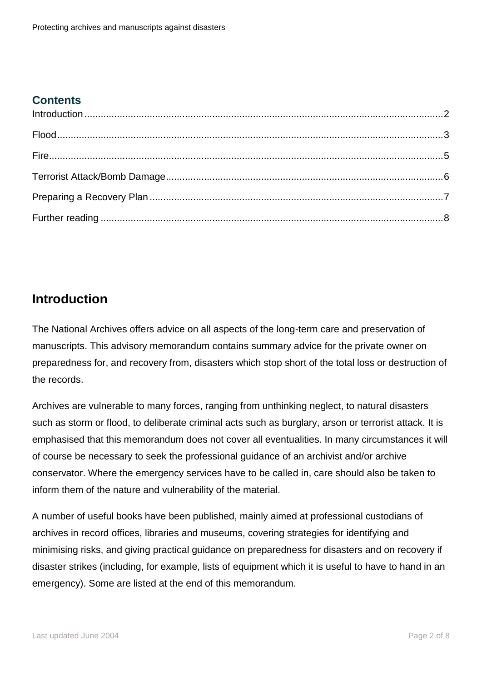#### **Contents**

## <span id="page-1-0"></span>**Introduction**

The National Archives offers advice on all aspects of the long-term care and preservation of manuscripts. This advisory memorandum contains summary advice for the private owner on preparedness for, and recovery from, disasters which stop short of the total loss or destruction of the records.

Archives are vulnerable to many forces, ranging from unthinking neglect, to natural disasters such as storm or flood, to deliberate criminal acts such as burglary, arson or terrorist attack. It is emphasised that this memorandum does not cover all eventualities. In many circumstances it will of course be necessary to seek the professional guidance of an archivist and/or archive conservator. Where the emergency services have to be called in, care should also be taken to inform them of the nature and vulnerability of the material.

A number of useful books have been published, mainly aimed at professional custodians of archives in record offices, libraries and museums, covering strategies for identifying and minimising risks, and giving practical guidance on preparedness for disasters and on recovery if disaster strikes (including, for example, lists of equipment which it is useful to have to hand in an emergency). Some are listed at the end of this memorandum.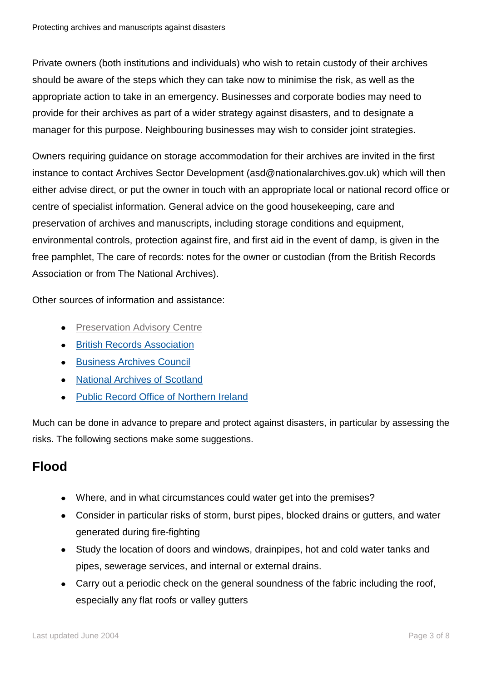Private owners (both institutions and individuals) who wish to retain custody of their archives should be aware of the steps which they can take now to minimise the risk, as well as the appropriate action to take in an emergency. Businesses and corporate bodies may need to provide for their archives as part of a wider strategy against disasters, and to designate a manager for this purpose. Neighbouring businesses may wish to consider joint strategies.

Owners requiring guidance on storage accommodation for their archives are invited in the first instance to contact Archives Sector Development (asd@nationalarchives.gov.uk) which will then either advise direct, or put the owner in touch with an appropriate local or national record office or centre of specialist information. General advice on the good housekeeping, care and preservation of archives and manuscripts, including storage conditions and equipment, environmental controls, protection against fire, and first aid in the event of damp, is given in the free pamphlet, The care of records: notes for the owner or custodian (from the British Records Association or from The National Archives).

Other sources of information and assistance:

- **•** [Preservation Advisory Centre](http://www.bl.uk/blpac/index.html)
- **[British Records Association](http://www.britishrecordsassociation.org.uk/)**
- **•** [Business Archives Council](http://www.businessarchivescouncil.com/)
- [National Archives of Scotland](http://www.nas.gov.uk/)
- [Public Record Office of Northern Ireland](http://www.proni.gov.uk/)

Much can be done in advance to prepare and protect against disasters, in particular by assessing the risks. The following sections make some suggestions.

# <span id="page-2-0"></span>**Flood**

- Where, and in what circumstances could water get into the premises?
- Consider in particular risks of storm, burst pipes, blocked drains or gutters, and water generated during fire-fighting
- Study the location of doors and windows, drainpipes, hot and cold water tanks and  $\bullet$ pipes, sewerage services, and internal or external drains.
- Carry out a periodic check on the general soundness of the fabric including the roof, especially any flat roofs or valley gutters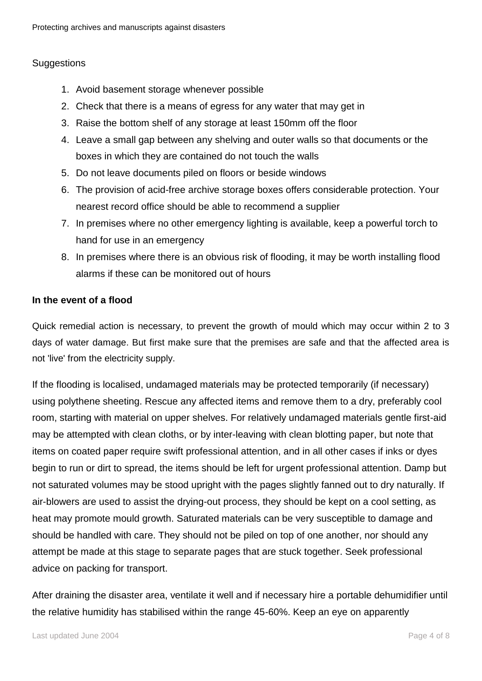#### **Suggestions**

- 1. Avoid basement storage whenever possible
- 2. Check that there is a means of egress for any water that may get in
- 3. Raise the bottom shelf of any storage at least 150mm off the floor
- 4. Leave a small gap between any shelving and outer walls so that documents or the boxes in which they are contained do not touch the walls
- 5. Do not leave documents piled on floors or beside windows
- 6. The provision of acid-free archive storage boxes offers considerable protection. Your nearest record office should be able to recommend a supplier
- 7. In premises where no other emergency lighting is available, keep a powerful torch to hand for use in an emergency
- 8. In premises where there is an obvious risk of flooding, it may be worth installing flood alarms if these can be monitored out of hours

#### **In the event of a flood**

Quick remedial action is necessary, to prevent the growth of mould which may occur within 2 to 3 days of water damage. But first make sure that the premises are safe and that the affected area is not 'live' from the electricity supply.

If the flooding is localised, undamaged materials may be protected temporarily (if necessary) using polythene sheeting. Rescue any affected items and remove them to a dry, preferably cool room, starting with material on upper shelves. For relatively undamaged materials gentle first-aid may be attempted with clean cloths, or by inter-leaving with clean blotting paper, but note that items on coated paper require swift professional attention, and in all other cases if inks or dyes begin to run or dirt to spread, the items should be left for urgent professional attention. Damp but not saturated volumes may be stood upright with the pages slightly fanned out to dry naturally. If air-blowers are used to assist the drying-out process, they should be kept on a cool setting, as heat may promote mould growth. Saturated materials can be very susceptible to damage and should be handled with care. They should not be piled on top of one another, nor should any attempt be made at this stage to separate pages that are stuck together. Seek professional advice on packing for transport.

After draining the disaster area, ventilate it well and if necessary hire a portable dehumidifier until the relative humidity has stabilised within the range 45-60%. Keep an eye on apparently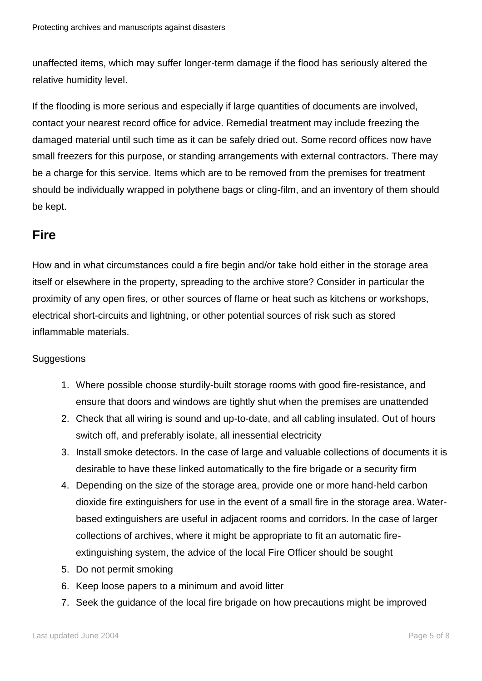unaffected items, which may suffer longer-term damage if the flood has seriously altered the relative humidity level.

If the flooding is more serious and especially if large quantities of documents are involved, contact your nearest record office for advice. Remedial treatment may include freezing the damaged material until such time as it can be safely dried out. Some record offices now have small freezers for this purpose, or standing arrangements with external contractors. There may be a charge for this service. Items which are to be removed from the premises for treatment should be individually wrapped in polythene bags or cling-film, and an inventory of them should be kept.

## <span id="page-4-0"></span>**Fire**

How and in what circumstances could a fire begin and/or take hold either in the storage area itself or elsewhere in the property, spreading to the archive store? Consider in particular the proximity of any open fires, or other sources of flame or heat such as kitchens or workshops, electrical short-circuits and lightning, or other potential sources of risk such as stored inflammable materials.

#### **Suggestions**

- 1. Where possible choose sturdily-built storage rooms with good fire-resistance, and ensure that doors and windows are tightly shut when the premises are unattended
- 2. Check that all wiring is sound and up-to-date, and all cabling insulated. Out of hours switch off, and preferably isolate, all inessential electricity
- 3. Install smoke detectors. In the case of large and valuable collections of documents it is desirable to have these linked automatically to the fire brigade or a security firm
- 4. Depending on the size of the storage area, provide one or more hand-held carbon dioxide fire extinguishers for use in the event of a small fire in the storage area. Waterbased extinguishers are useful in adjacent rooms and corridors. In the case of larger collections of archives, where it might be appropriate to fit an automatic fireextinguishing system, the advice of the local Fire Officer should be sought
- 5. Do not permit smoking
- 6. Keep loose papers to a minimum and avoid litter
- 7. Seek the guidance of the local fire brigade on how precautions might be improved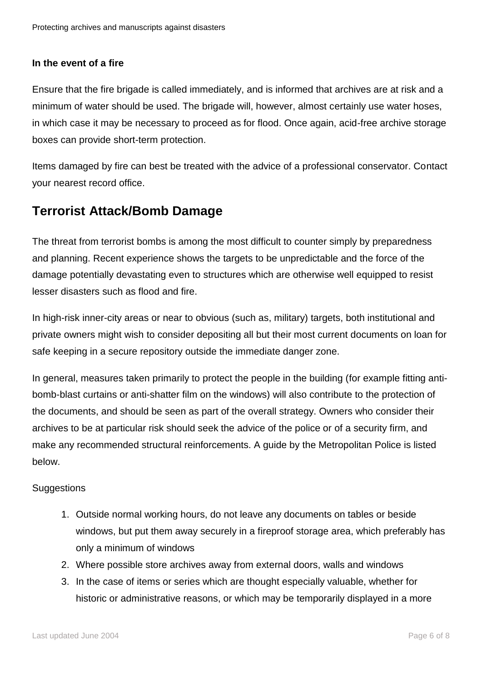#### **In the event of a fire**

Ensure that the fire brigade is called immediately, and is informed that archives are at risk and a minimum of water should be used. The brigade will, however, almost certainly use water hoses, in which case it may be necessary to proceed as for flood. Once again, acid-free archive storage boxes can provide short-term protection.

Items damaged by fire can best be treated with the advice of a professional conservator. Contact your nearest record office.

## <span id="page-5-0"></span>**Terrorist Attack/Bomb Damage**

The threat from terrorist bombs is among the most difficult to counter simply by preparedness and planning. Recent experience shows the targets to be unpredictable and the force of the damage potentially devastating even to structures which are otherwise well equipped to resist lesser disasters such as flood and fire.

In high-risk inner-city areas or near to obvious (such as, military) targets, both institutional and private owners might wish to consider depositing all but their most current documents on loan for safe keeping in a secure repository outside the immediate danger zone.

In general, measures taken primarily to protect the people in the building (for example fitting antibomb-blast curtains or anti-shatter film on the windows) will also contribute to the protection of the documents, and should be seen as part of the overall strategy. Owners who consider their archives to be at particular risk should seek the advice of the police or of a security firm, and make any recommended structural reinforcements. A guide by the Metropolitan Police is listed below.

#### **Suggestions**

- 1. Outside normal working hours, do not leave any documents on tables or beside windows, but put them away securely in a fireproof storage area, which preferably has only a minimum of windows
- 2. Where possible store archives away from external doors, walls and windows
- 3. In the case of items or series which are thought especially valuable, whether for historic or administrative reasons, or which may be temporarily displayed in a more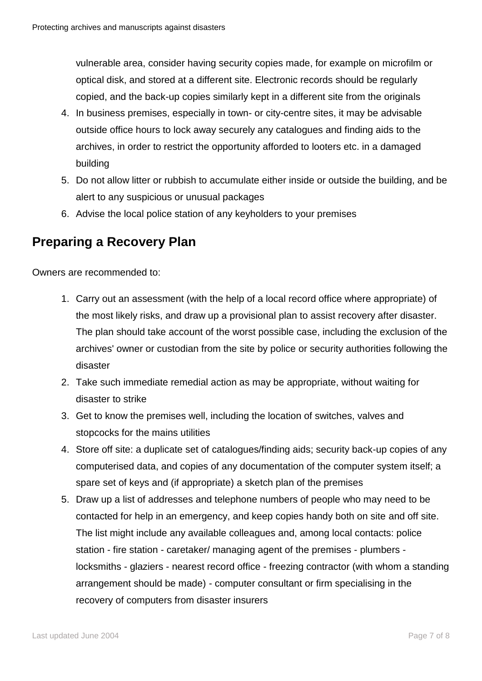vulnerable area, consider having security copies made, for example on microfilm or optical disk, and stored at a different site. Electronic records should be regularly copied, and the back-up copies similarly kept in a different site from the originals

- 4. In business premises, especially in town- or city-centre sites, it may be advisable outside office hours to lock away securely any catalogues and finding aids to the archives, in order to restrict the opportunity afforded to looters etc. in a damaged building
- 5. Do not allow litter or rubbish to accumulate either inside or outside the building, and be alert to any suspicious or unusual packages
- 6. Advise the local police station of any keyholders to your premises

## <span id="page-6-0"></span>**Preparing a Recovery Plan**

Owners are recommended to:

- 1. Carry out an assessment (with the help of a local record office where appropriate) of the most likely risks, and draw up a provisional plan to assist recovery after disaster. The plan should take account of the worst possible case, including the exclusion of the archives' owner or custodian from the site by police or security authorities following the disaster
- 2. Take such immediate remedial action as may be appropriate, without waiting for disaster to strike
- 3. Get to know the premises well, including the location of switches, valves and stopcocks for the mains utilities
- 4. Store off site: a duplicate set of catalogues/finding aids; security back-up copies of any computerised data, and copies of any documentation of the computer system itself; a spare set of keys and (if appropriate) a sketch plan of the premises
- 5. Draw up a list of addresses and telephone numbers of people who may need to be contacted for help in an emergency, and keep copies handy both on site and off site. The list might include any available colleagues and, among local contacts: police station - fire station - caretaker/ managing agent of the premises - plumbers locksmiths - glaziers - nearest record office - freezing contractor (with whom a standing arrangement should be made) - computer consultant or firm specialising in the recovery of computers from disaster insurers